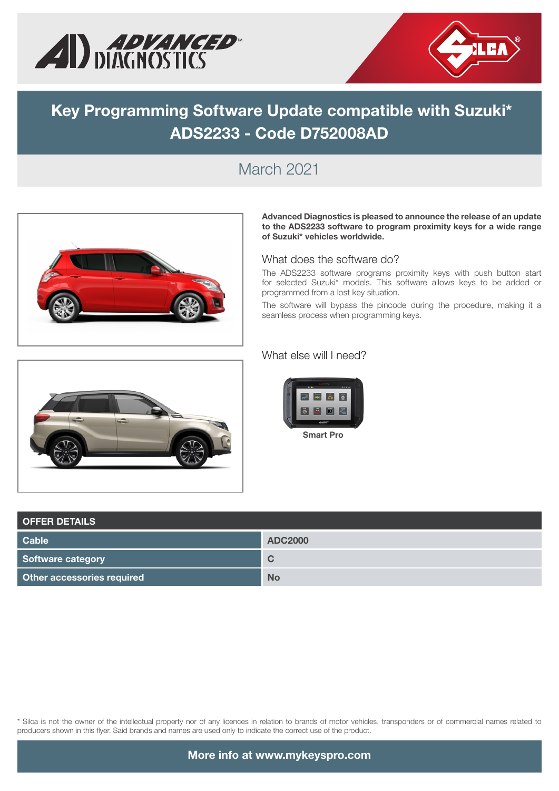



# **Key Programming Software Update compatible with Suzuki\* ADS2233 - Code D752008AD**

#### March 2021



**Advanced Diagnostics is pleased to announce the release of an update to the ADS2233 software to program proximity keys for a wide range of Suzuki\* vehicles worldwide.** 

#### What does the software do?

The ADS2233 software programs proximity keys with push button start for selected Suzuki\* models. This software allows keys to be added or programmed from a lost key situation.

The software will bypass the pincode during the procedure, making it a seamless process when programming keys.



#### What else will I need?



| <b>OFFER DETAILS</b>       |                |  |  |  |  |
|----------------------------|----------------|--|--|--|--|
| <b>Cable</b>               | <b>ADC2000</b> |  |  |  |  |
| Software category          | C              |  |  |  |  |
| Other accessories required | <b>No</b>      |  |  |  |  |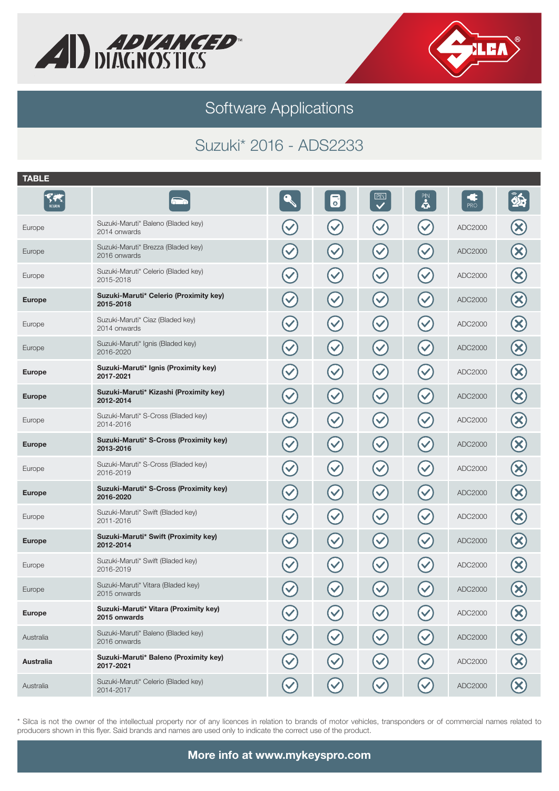



## Suzuki\* 2016 - ADS2233

| <b>TABLE</b>        |                                                       |                           |                      |                           |                      |                        |                           |
|---------------------|-------------------------------------------------------|---------------------------|----------------------|---------------------------|----------------------|------------------------|---------------------------|
| Y.<br><b>REGION</b> |                                                       |                           | 6                    | $\overline{\mathbf{C}}$   | $\mathbf{S}$         | $\frac{1}{\text{PRO}}$ | $\hat{\mathbf{z}}$        |
| Europe              | Suzuki-Maruti* Baleno (Bladed key)<br>2014 onwards    | $\blacktriangledown$      | $\blacktriangledown$ | $\checkmark$              | $\checkmark$         | ADC2000                | X                         |
| Europe              | Suzuki-Maruti* Brezza (Bladed key)<br>2016 onwards    | $\blacktriangledown$      | $\blacktriangledown$ | $\checkmark$              | $\blacktriangledown$ | ADC2000                | $\boldsymbol{\times}$     |
| Europe              | Suzuki-Maruti* Celerio (Bladed key)<br>2015-2018      | $\left(\checkmark\right)$ | $\blacktriangledown$ | $\left(\checkmark\right)$ | $\blacktriangledown$ | ADC2000                | $\boldsymbol{\mathsf{X}}$ |
| <b>Europe</b>       | Suzuki-Maruti* Celerio (Proximity key)<br>2015-2018   | $\blacktriangledown$      | $\blacktriangledown$ | $\left(\checkmark\right)$ | $\blacktriangledown$ | ADC2000                | $\infty$                  |
| Europe              | Suzuki-Maruti* Ciaz (Bladed key)<br>2014 onwards      | $\blacktriangledown$      | $\blacktriangledown$ | $(\checkmark)$            | $\checkmark$         | ADC2000                | $\infty$                  |
| Europe              | Suzuki-Maruti* Ignis (Bladed key)<br>2016-2020        | $\blacktriangledown$      | $\blacktriangledown$ | $\blacktriangledown$      | $\checkmark$         | ADC2000                | $\infty$                  |
| <b>Europe</b>       | Suzuki-Maruti* Ignis (Proximity key)<br>2017-2021     | $\blacktriangledown$      | $\blacktriangledown$ | $\left(\checkmark\right)$ | $\checkmark$         | ADC2000                | $\boldsymbol{\mathsf{X}}$ |
| <b>Europe</b>       | Suzuki-Maruti* Kizashi (Proximity key)<br>2012-2014   | $\blacktriangledown$      | $\blacktriangledown$ | $\mathcal{\mathcal{C}}$   | $\checkmark$         | ADC2000                | $\boldsymbol{\times}$     |
| Europe              | Suzuki-Maruti* S-Cross (Bladed key)<br>2014-2016      | $\left(\checkmark\right)$ | $\blacktriangledown$ | $(\checkmark)$            | $\blacktriangledown$ | ADC2000                | $\mathbf x$               |
| <b>Europe</b>       | Suzuki-Maruti* S-Cross (Proximity key)<br>2013-2016   | $\left(\checkmark\right)$ | $\blacktriangledown$ | $\mathcal{\mathcal{C}}$   | $\checkmark$         | ADC2000                | $\boldsymbol{\times}$     |
| Europe              | Suzuki-Maruti* S-Cross (Bladed key)<br>2016-2019      | $\blacktriangledown$      | $\blacktriangledown$ | $\left(\checkmark\right)$ | $\checkmark$         | ADC2000                | $\infty$                  |
| <b>Europe</b>       | Suzuki-Maruti* S-Cross (Proximity key)<br>2016-2020   | $\blacktriangledown$      | $\blacktriangledown$ | $\mathcal{\mathcal{C}}$   | $\checkmark$         | ADC2000                | $\infty$                  |
| Europe              | Suzuki-Maruti* Swift (Bladed key)<br>2011-2016        | $\blacktriangledown$      | $\blacktriangledown$ | $\blacktriangledown$      | $\checkmark$         | ADC2000                | $\boldsymbol{\mathsf{X}}$ |
| <b>Europe</b>       | Suzuki-Maruti* Swift (Proximity key)<br>2012-2014     | $\blacktriangledown$      | $\blacktriangledown$ | $\mathcal{\mathcal{C}}$   | $\checkmark$         | ADC2000                | $\boldsymbol{\times}$     |
| Europe              | Suzuki-Maruti* Swift (Bladed key)<br>2016-2019        | $\blacktriangledown$      | $\blacktriangledown$ | $(\checkmark)$            | $\checkmark$         | ADC2000                | $\bm{\times}$             |
| Europe              | Suzuki-Maruti* Vitara (Bladed key)<br>2015 onwards    | $\blacktriangledown$      | $\blacktriangledown$ | $\blacktriangledown$      | $\checkmark$         | ADC2000                | $\infty$                  |
| <b>Europe</b>       | Suzuki-Maruti* Vitara (Proximity key)<br>2015 onwards |                           |                      |                           |                      | ADC2000                |                           |
| Australia           | Suzuki-Maruti* Baleno (Bladed key)<br>2016 onwards    |                           |                      | $\blacktriangledown$      |                      | ADC2000                |                           |
| <b>Australia</b>    | Suzuki-Maruti* Baleno (Proximity key)<br>2017-2021    |                           |                      |                           |                      | ADC2000                |                           |
| Australia           | Suzuki-Maruti* Celerio (Bladed key)<br>2014-2017      |                           |                      |                           |                      | ADC2000                |                           |
|                     |                                                       |                           |                      |                           |                      |                        |                           |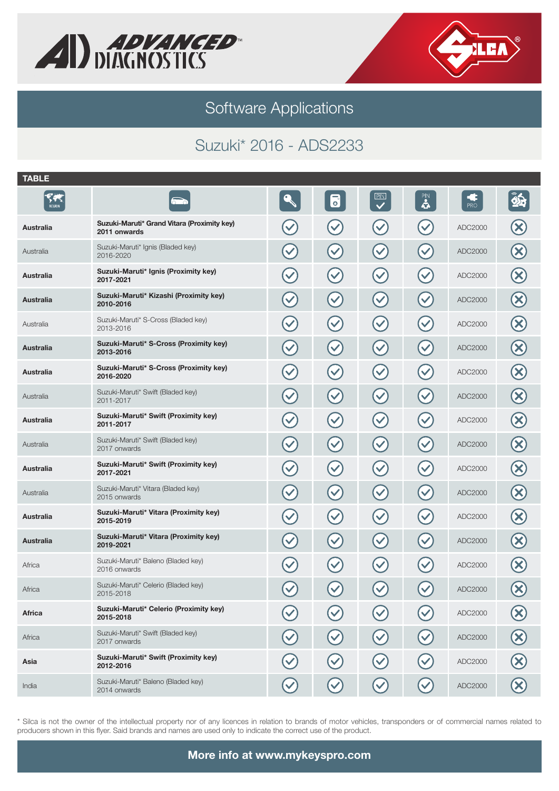



## Suzuki\* 2016 - ADS2233

| <b>TABLE</b>         |                                                             |                      |                      |                           |                         |                           |                           |
|----------------------|-------------------------------------------------------------|----------------------|----------------------|---------------------------|-------------------------|---------------------------|---------------------------|
| $\sqrt{2}$<br>REGION |                                                             |                      | $\overline{\bullet}$ | $\overline{\mathbf{C}}$   | $\mathbf{R}$            | $\mathbf G$<br><b>PRO</b> | $\hat{\mathbf{\Phi}}$     |
| Australia            | Suzuki-Maruti* Grand Vitara (Proximity key)<br>2011 onwards | $\checkmark$         | $\checkmark$         | $\checkmark$              |                         | ADC2000                   |                           |
| Australia            | Suzuki-Maruti* Ignis (Bladed key)<br>2016-2020              | $\blacktriangledown$ | $\checkmark$         | $\checkmark$              | $\blacktriangledown$    | ADC2000                   |                           |
| Australia            | Suzuki-Maruti* Ignis (Proximity key)<br>2017-2021           | $\blacktriangledown$ | $\blacktriangledown$ | $\blacktriangledown$      | $\blacktriangledown$    | ADC2000                   | $\boldsymbol{\mathsf{X}}$ |
| Australia            | Suzuki-Maruti* Kizashi (Proximity key)<br>2010-2016         | $\blacktriangledown$ | $\blacktriangledown$ | $\left(\checkmark\right)$ | $\blacktriangledown$    | ADC2000                   | $\boldsymbol{\times}$     |
| Australia            | Suzuki-Maruti* S-Cross (Bladed key)<br>2013-2016            | $\blacktriangledown$ | $\blacktriangledown$ | $\blacktriangledown$      | $\checkmark$            | ADC2000                   | $\boldsymbol{\mathsf{X}}$ |
| Australia            | Suzuki-Maruti* S-Cross (Proximity key)<br>2013-2016         | $\blacktriangledown$ | $\blacktriangledown$ | $\blacktriangledown$      | $\checkmark$            | ADC2000                   | $\boldsymbol{\times}$     |
| Australia            | Suzuki-Maruti* S-Cross (Proximity key)<br>2016-2020         | $\blacktriangledown$ | $\checkmark$         | $\blacktriangledown$      | $\checkmark$            | ADC2000                   | $\boldsymbol{\mathsf{X}}$ |
| Australia            | Suzuki-Maruti* Swift (Bladed key)<br>2011-2017              | $\blacktriangledown$ | $\blacktriangledown$ | $\blacktriangledown$      | $\checkmark$            | ADC2000                   | $\boldsymbol{\times}$     |
| <b>Australia</b>     | Suzuki-Maruti* Swift (Proximity key)<br>2011-2017           | $\blacktriangledown$ | $\blacktriangledown$ | $(\checkmark)$            | $\blacktriangledown$    | ADC2000                   | X                         |
| Australia            | Suzuki-Maruti* Swift (Bladed key)<br>2017 onwards           | $\blacktriangledown$ | $\blacktriangledown$ | $\blacktriangledown$      | $\blacktriangledown$    | ADC2000                   | $\mathbf x$               |
| Australia            | Suzuki-Maruti* Swift (Proximity key)<br>2017-2021           | $\blacktriangledown$ | $\blacktriangledown$ | $\left(\checkmark\right)$ | $\checkmark$            | ADC2000                   | $\boldsymbol{\mathsf{X}}$ |
| Australia            | Suzuki-Maruti* Vitara (Bladed key)<br>2015 onwards          | $\blacktriangledown$ | $\blacktriangledown$ | $\blacktriangledown$      | $\blacktriangledown$    | ADC2000                   | $\boldsymbol{\times}$     |
| Australia            | Suzuki-Maruti* Vitara (Proximity key)<br>2015-2019          | $\blacktriangledown$ | $\checkmark$         | $\checkmark$              | $\checkmark$            | ADC2000                   | X)                        |
| Australia            | Suzuki-Maruti* Vitara (Proximity key)<br>2019-2021          | $\checkmark$         | $\checkmark$         | $\blacktriangledown$      | $\overline{\mathbf{v}}$ | ADC2000                   | $\boldsymbol{\times}$     |
| Africa               | Suzuki-Maruti* Baleno (Bladed key)<br>2016 onwards          | $\blacktriangledown$ | $\checkmark$         | $\blacktriangledown$      |                         | ADC2000                   |                           |
| Africa               | Suzuki-Maruti* Celerio (Bladed key)<br>2015-2018            | $\blacktriangledown$ | $\blacktriangledown$ | $\checkmark$              | $\blacktriangledown$    | ADC2000                   | $\boldsymbol{\mathsf{x}}$ |
| <b>Africa</b>        | Suzuki-Maruti* Celerio (Proximity key)<br>2015-2018         |                      |                      |                           |                         | ADC2000                   |                           |
| Africa               | Suzuki-Maruti* Swift (Bladed key)<br>2017 onwards           |                      |                      | $\checkmark$              |                         | ADC2000                   |                           |
| Asia                 | Suzuki-Maruti* Swift (Proximity key)<br>2012-2016           |                      |                      |                           |                         | ADC2000                   |                           |
| India                | Suzuki-Maruti* Baleno (Bladed key)<br>2014 onwards          |                      |                      |                           |                         | ADC2000                   |                           |
|                      |                                                             |                      |                      |                           |                         |                           |                           |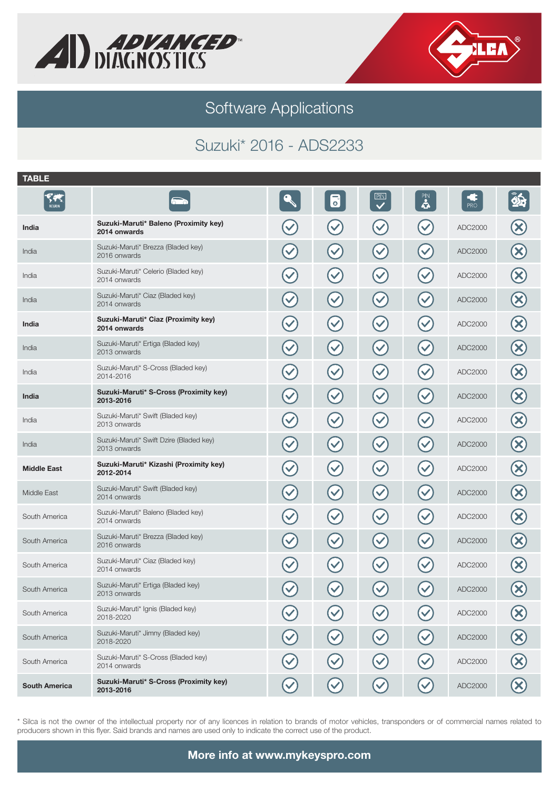



## Suzuki\* 2016 - ADS2233

| <b>TABLE</b>         |                                                         |                      |                      |                           |                      |                      |                           |
|----------------------|---------------------------------------------------------|----------------------|----------------------|---------------------------|----------------------|----------------------|---------------------------|
| F.<br>REGION         |                                                         |                      | 6                    | $\overline{\mathbf{v}}$   | $\mathbf{a}$         | $rac{1}{\text{PRO}}$ | $\hat{\mathbf{\Phi}}$     |
| India                | Suzuki-Maruti* Baleno (Proximity key)<br>2014 onwards   | $\checkmark$         |                      |                           |                      | ADC2000              |                           |
| India                | Suzuki-Maruti* Brezza (Bladed key)<br>2016 onwards      | $\blacktriangledown$ | $\blacktriangledown$ | $\checkmark$              | $\checkmark$         | ADC2000              |                           |
| India                | Suzuki-Maruti* Celerio (Bladed key)<br>2014 onwards     | $\blacktriangledown$ | $\blacktriangledown$ | $(\checkmark)$            | $\checkmark$         | ADC2000              | $\boldsymbol{\mathbf{X}}$ |
| India                | Suzuki-Maruti* Ciaz (Bladed key)<br>2014 onwards        | $\blacktriangledown$ | $\blacktriangledown$ | $\left(\checkmark\right)$ | $\checkmark$         | ADC2000              | $\bm{\times}$             |
| India                | Suzuki-Maruti* Ciaz (Proximity key)<br>2014 onwards     | $\blacktriangledown$ | $\blacktriangledown$ | $(\checkmark)$            |                      | ADC2000              | $\boldsymbol{\mathsf{X}}$ |
| India                | Suzuki-Maruti* Ertiga (Bladed key)<br>2013 onwards      | $\blacktriangledown$ | $\blacktriangledown$ | $\blacktriangledown$      | $\checkmark$         | ADC2000              | $\boldsymbol{\times}$     |
| India                | Suzuki-Maruti* S-Cross (Bladed key)<br>2014-2016        | $\blacktriangledown$ | $\blacktriangledown$ | $(\checkmark)$            | $\checkmark$         | ADC2000              | $\boldsymbol{\mathsf{X}}$ |
| India                | Suzuki-Maruti* S-Cross (Proximity key)<br>2013-2016     | $\blacktriangledown$ | $\blacktriangledown$ | $(\checkmark)$            | $\checkmark$         | ADC2000              | $\bm{\times}$             |
| India                | Suzuki-Maruti* Swift (Bladed key)<br>2013 onwards       | $\blacktriangledown$ | $\blacktriangledown$ | $\checkmark$              |                      | ADC2000              | ×                         |
| India                | Suzuki-Maruti* Swift Dzire (Bladed key)<br>2013 onwards | $\blacktriangledown$ | $\blacktriangledown$ | $(\checkmark)$            | $\checkmark$         | ADC2000              | $\boldsymbol{\times}$     |
| <b>Middle East</b>   | Suzuki-Maruti* Kizashi (Proximity key)<br>2012-2014     | $\blacktriangledown$ | $\blacktriangledown$ | $\left(\checkmark\right)$ | $\checkmark$         | ADC2000              | $\infty$                  |
| Middle East          | Suzuki-Maruti* Swift (Bladed key)<br>2014 onwards       | $\blacktriangledown$ | $\blacktriangledown$ | $\blacktriangledown$      | $\checkmark$         | ADC2000              | $\infty$                  |
| South America        | Suzuki-Maruti* Baleno (Bladed key)<br>2014 onwards      | $\blacktriangledown$ | $\blacktriangledown$ | $\checkmark$              | $\blacktriangledown$ | ADC2000              | $\boldsymbol{\times}$     |
| South America        | Suzuki-Maruti* Brezza (Bladed key)<br>2016 onwards      | $\blacktriangledown$ | $\blacktriangledown$ | $\checkmark$              |                      | ADC2000              | $\boldsymbol{\times}$     |
| South America        | Suzuki-Maruti* Ciaz (Bladed key)<br>2014 onwards        | $\blacktriangledown$ |                      | $\blacktriangledown$      |                      | ADC2000              |                           |
| South America        | Suzuki-Maruti* Ertiga (Bladed key)<br>2013 onwards      | $\blacktriangledown$ | $\blacktriangledown$ | $\checkmark$              | $\blacktriangledown$ | ADC2000              | $\boldsymbol{\mathsf{x}}$ |
| South America        | Suzuki-Maruti* Ignis (Bladed key)<br>2018-2020          |                      |                      |                           |                      | ADC2000              |                           |
| South America        | Suzuki-Maruti* Jimny (Bladed key)<br>2018-2020          |                      |                      |                           |                      | ADC2000              |                           |
| South America        | Suzuki-Maruti* S-Cross (Bladed key)<br>2014 onwards     |                      |                      |                           |                      | ADC2000              |                           |
| <b>South America</b> | Suzuki-Maruti* S-Cross (Proximity key)<br>2013-2016     |                      |                      |                           |                      | ADC2000              |                           |
|                      |                                                         |                      |                      |                           |                      |                      |                           |